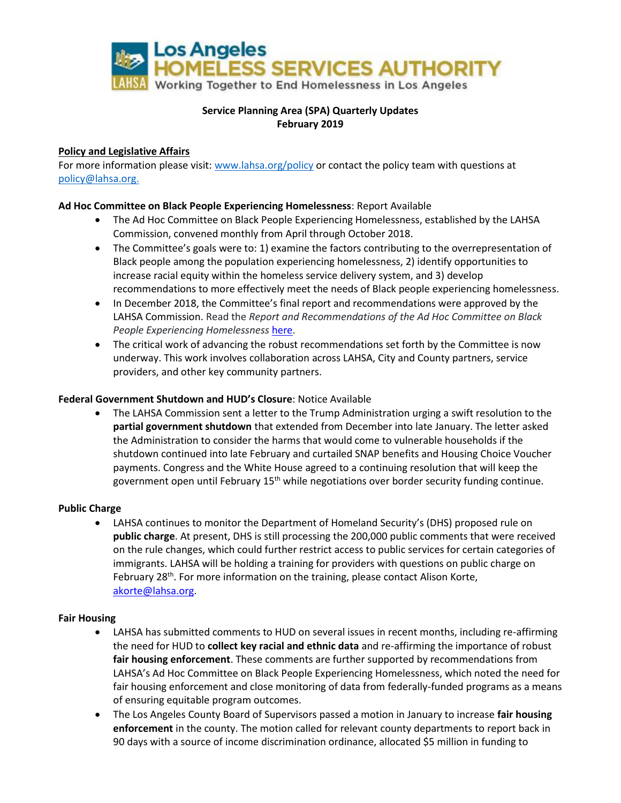

# **Service Planning Area (SPA) Quarterly Updates February 2019**

### **Policy and Legislative Affairs**

For more information please visit[: www.lahsa.org/policy](http://www.lahsa.org/policy) or contact the policy team with questions at [policy@lahsa.org.](mailto:policy@lahsa.org)

### **Ad Hoc Committee on Black People Experiencing Homelessness**: Report Available

- The Ad Hoc Committee on Black People Experiencing Homelessness, established by the LAHSA Commission, convened monthly from April through October 2018.
- The Committee's goals were to: 1) examine the factors contributing to the overrepresentation of Black people among the population experiencing homelessness, 2) identify opportunities to increase racial equity within the homeless service delivery system, and 3) develop recommendations to more effectively meet the needs of Black people experiencing homelessness.
- In December 2018, the Committee's final report and recommendations were approved by the LAHSA Commission. Read the *Report and Recommendations of the Ad Hoc Committee on Black People Experiencing Homelessness* [here.](https://www.lahsa.org/documents?id=2823-report-and-recommendations-of-the-ad-hoc-committee-on-black-people-experiencing-homelessness.pdf)
- The critical work of advancing the robust recommendations set forth by the Committee is now underway. This work involves collaboration across LAHSA, City and County partners, service providers, and other key community partners.

### **Federal Government Shutdown and HUD's Closure**: Notice Available

• The LAHSA Commission sent a letter to the Trump Administration urging a swift resolution to the **partial government shutdown** that extended from December into late January. The letter asked the Administration to consider the harms that would come to vulnerable households if the shutdown continued into late February and curtailed SNAP benefits and Housing Choice Voucher payments. Congress and the White House agreed to a continuing resolution that will keep the government open until February 15<sup>th</sup> while negotiations over border security funding continue.

#### **Public Charge**

• LAHSA continues to monitor the Department of Homeland Security's (DHS) proposed rule on **public charge**. At present, DHS is still processing the 200,000 public comments that were received on the rule changes, which could further restrict access to public services for certain categories of immigrants. LAHSA will be holding a training for providers with questions on public charge on February 28<sup>th</sup>. For more information on the training, please contact Alison Korte, [akorte@lahsa.org.](mailto:akorte@lahsa.org)

#### **Fair Housing**

- LAHSA has submitted comments to HUD on several issues in recent months, including re-affirming the need for HUD to **collect key racial and ethnic data** and re-affirming the importance of robust **fair housing enforcement**. These comments are further supported by recommendations from LAHSA's Ad Hoc Committee on Black People Experiencing Homelessness, which noted the need for fair housing enforcement and close monitoring of data from federally-funded programs as a means of ensuring equitable program outcomes.
- The Los Angeles County Board of Supervisors passed a motion in January to increase **fair housing enforcement** in the county. The motion called for relevant county departments to report back in 90 days with a source of income discrimination ordinance, allocated \$5 million in funding to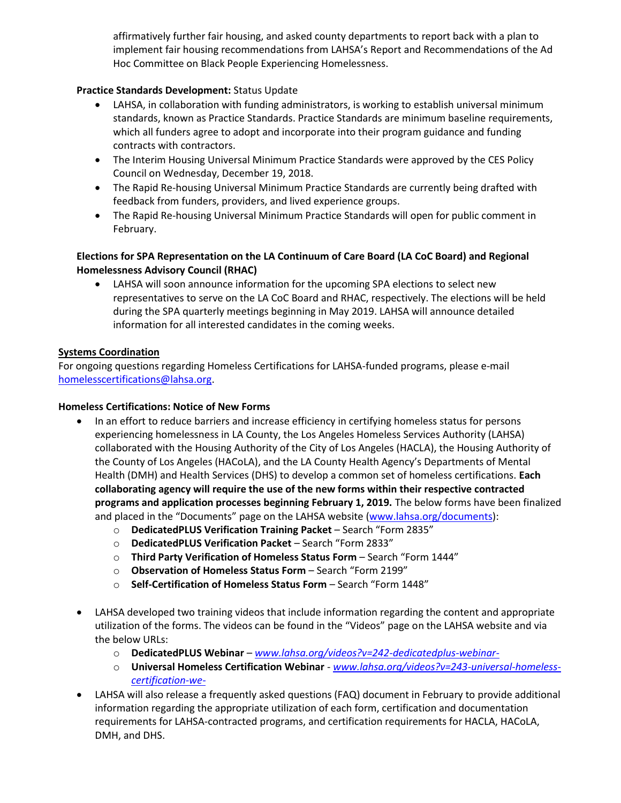affirmatively further fair housing, and asked county departments to report back with a plan to implement fair housing recommendations from LAHSA's Report and Recommendations of the Ad Hoc Committee on Black People Experiencing Homelessness.

## **Practice Standards Development:** Status Update

- LAHSA, in collaboration with funding administrators, is working to establish universal minimum standards, known as Practice Standards. Practice Standards are minimum baseline requirements, which all funders agree to adopt and incorporate into their program guidance and funding contracts with contractors.
- The Interim Housing Universal Minimum Practice Standards were approved by the CES Policy Council on Wednesday, December 19, 2018.
- The Rapid Re-housing Universal Minimum Practice Standards are currently being drafted with feedback from funders, providers, and lived experience groups.
- The Rapid Re-housing Universal Minimum Practice Standards will open for public comment in February.

## **Elections for SPA Representation on the LA Continuum of Care Board (LA CoC Board) and Regional Homelessness Advisory Council (RHAC)**

• LAHSA will soon announce information for the upcoming SPA elections to select new representatives to serve on the LA CoC Board and RHAC, respectively. The elections will be held during the SPA quarterly meetings beginning in May 2019. LAHSA will announce detailed information for all interested candidates in the coming weeks.

### **Systems Coordination**

For ongoing questions regarding Homeless Certifications for LAHSA-funded programs, please e-mail [homelesscertifications@lahsa.org.](mailto:homelesscertifications@lahsa.org)

#### **Homeless Certifications: Notice of New Forms**

- In an effort to reduce barriers and increase efficiency in certifying homeless status for persons experiencing homelessness in LA County, the Los Angeles Homeless Services Authority (LAHSA) collaborated with the Housing Authority of the City of Los Angeles (HACLA), the Housing Authority of the County of Los Angeles (HACoLA), and the LA County Health Agency's Departments of Mental Health (DMH) and Health Services (DHS) to develop a common set of homeless certifications. **Each collaborating agency will require the use of the new forms within their respective contracted programs and application processes beginning February 1, 2019.** The below forms have been finalized and placed in the "Documents" page on the LAHSA website ([www.lahsa.org/documents\)](http://www.lahsa.org/documents):
	- o **DedicatedPLUS Verification Training Packet** Search "Form 2835"
	- o **DedicatedPLUS Verification Packet** Search "Form 2833"
	- o **Third Party Verification of Homeless Status Form** Search "Form 1444"
	- o **Observation of Homeless Status Form** Search "Form 2199"
	- o **Self-Certification of Homeless Status Form** Search "Form 1448"
- LAHSA developed two training videos that include information regarding the content and appropriate utilization of the forms. The videos can be found in the "Videos" page on the LAHSA website and via the below URLs:
	- o **DedicatedPLUS Webinar** *[www.lahsa.org/videos?v=242-dedicatedplus-webinar-](http://www.lahsa.org/videos?v=242-dedicatedplus-webinar-)*
	- o **Universal Homeless Certification Webinar** *[www.lahsa.org/videos?v=243-universal-homeless](http://www.lahsa.org/videos?v=243-universal-homeless-certification-we-)[certification-we-](http://www.lahsa.org/videos?v=243-universal-homeless-certification-we-)*
- LAHSA will also release a frequently asked questions (FAQ) document in February to provide additional information regarding the appropriate utilization of each form, certification and documentation requirements for LAHSA-contracted programs, and certification requirements for HACLA, HACoLA, DMH, and DHS.